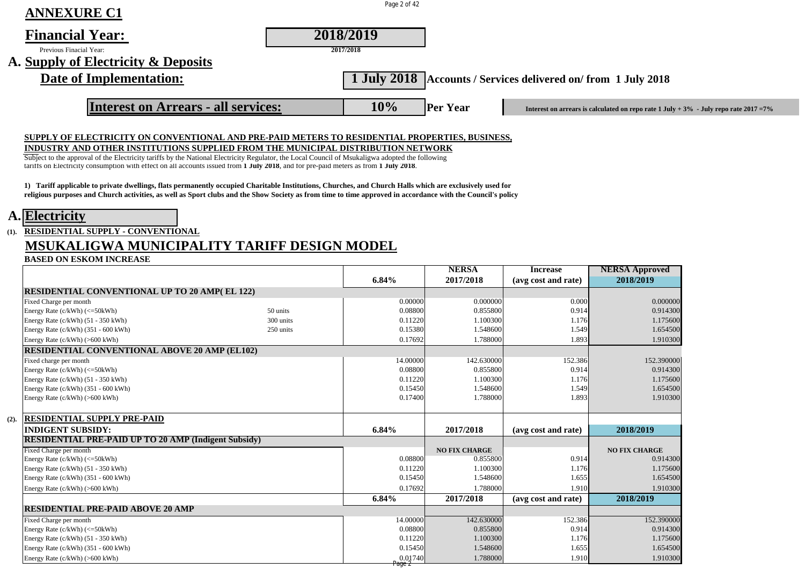| <b>ANNEXURE C1</b>                  | Page 2 of 42 |                                                                                                                  |  |
|-------------------------------------|--------------|------------------------------------------------------------------------------------------------------------------|--|
| <b>Financial Year:</b>              | 2018/2019    |                                                                                                                  |  |
| Previous Finacial Year:             | 2017/2018    |                                                                                                                  |  |
| A. Supply of Electricity & Deposits |              |                                                                                                                  |  |
| Date of Implementation:             |              | 1 July 2018 Accounts / Services delivered on/from 1 July 2018                                                    |  |
| Interest on Arrears - all services: | 10%          | <b>Per Year</b><br>Interest on arrears is calculated on repo rate $1$ July + $3\%$ - July repo rate $2017 = 7\%$ |  |
|                                     |              |                                                                                                                  |  |

#### **SUPPLY OF ELECTRICITY ON CONVENTIONAL AND PRE-PAID METERS TO RESIDENTIAL PROPERTIES, BUSINESS,**

#### **INDUSTRY AND OTHER INSTITUTIONS SUPPLIED FROM THE MUNICIPAL DISTRIBUTION NETWORK**

Subject to the approval of the Electricity tariffs by the National Electricity Regulator, the Local Council of Msukaligwa adopted the following tariffs on Electricity consumption with effect on all accounts issued from **1 July 2018**, and for pre-paid meters as from **1 July 2018**.

**1) Tariff applicable to private dwellings, flats permanently occupied Charitable Institutions, Churches, and Church Halls which are exclusively used for religious purposes and Church activities, as well as Sport clubs and the Show Society as from time to time approved in accordance with the Council's policy**

### **A. Electricity**

# **(1). RESIDENTIAL SUPPLY - CONVENTIONAL**

# **MSUKALIGWA MUNICIPALITY TARIFF DESIGN MODEL**

**BASED ON ESKOM INCREASE**

|      |                                                             |           |          | <b>NERSA</b>         | <b>Increase</b>     | <b>NERSA Approved</b> |
|------|-------------------------------------------------------------|-----------|----------|----------------------|---------------------|-----------------------|
|      |                                                             |           | 6.84%    | 2017/2018            | (avg cost and rate) | 2018/2019             |
|      | <b>RESIDENTIAL CONVENTIONAL UP TO 20 AMP(EL 122)</b>        |           |          |                      |                     |                       |
|      | Fixed Charge per month                                      |           | 0.00000  | 0.000000             | 0.000               | 0.000000              |
|      | Energy Rate (c/kWh) (<=50kWh)                               | 50 units  | 0.08800  | 0.855800             | 0.914               | 0.914300              |
|      | Energy Rate (c/kWh) (51 - 350 kWh)                          | 300 units | 0.11220  | 1.100300             | 1.176               | 1.175600              |
|      | Energy Rate $(c/kWh)$ (351 - 600 kWh)                       | 250 units | 0.15380  | 1.548600             | 1.549               | 1.654500              |
|      | Energy Rate (c/kWh) (>600 kWh)                              |           | 0.17692  | 1.788000             | 1.893               | 1.910300              |
|      | <b>RESIDENTIAL CONVENTIONAL ABOVE 20 AMP (EL102)</b>        |           |          |                      |                     |                       |
|      | Fixed charge per month                                      |           | 14.00000 | 142.630000           | 152.386             | 152.390000            |
|      | Energy Rate $(c/kWh)$ $(<=50kWh)$                           |           | 0.08800  | 0.855800             | 0.914               | 0.914300              |
|      | Energy Rate (c/kWh) (51 - 350 kWh)                          |           | 0.11220  | 1.100300             | 1.176               | 1.175600              |
|      | Energy Rate (c/kWh) (351 - 600 kWh)                         |           | 0.15450  | 1.548600             | 1.549               | 1.654500              |
|      | Energy Rate (c/kWh) (>600 kWh)                              |           | 0.17400  | 1.788000             | 1.893               | 1.910300              |
|      |                                                             |           |          |                      |                     |                       |
| (2). | <b>RESIDENTIAL SUPPLY PRE-PAID</b>                          |           |          |                      |                     |                       |
|      | <b>INDIGENT SUBSIDY:</b>                                    |           | 6.84%    | 2017/2018            | (avg cost and rate) | 2018/2019             |
|      | <b>RESIDENTIAL PRE-PAID UP TO 20 AMP (Indigent Subsidy)</b> |           |          |                      |                     |                       |
|      | Fixed Charge per month                                      |           |          | <b>NO FIX CHARGE</b> |                     | <b>NO FIX CHARGE</b>  |
|      | Energy Rate (c/kWh) (<=50kWh)                               |           | 0.08800  | 0.855800             | 0.914               | 0.914300              |
|      | Energy Rate (c/kWh) (51 - 350 kWh)                          |           | 0.11220  | 1.100300             | 1.176               | 1.175600              |
|      | Energy Rate $(c/kWh)$ (351 - 600 kWh)                       |           | 0.15450  | 1.548600             | 1.655               | 1.654500              |
|      | Energy Rate (c/kWh) (>600 kWh)                              |           | 0.17692  | 1.788000             | 1.910               | 1.910300              |
|      |                                                             |           | 6.84%    | 2017/2018            | (avg cost and rate) | 2018/2019             |
|      | <b>RESIDENTIAL PRE-PAID ABOVE 20 AMP</b>                    |           |          |                      |                     |                       |
|      | Fixed Charge per month                                      |           | 14.00000 | 142.630000           | 152.386             | 152.390000            |
|      | Energy Rate (c/kWh) (<=50kWh)                               |           | 0.08800  | 0.855800             | 0.914               | 0.914300              |
|      | Energy Rate (c/kWh) (51 - 350 kWh)                          |           | 0.11220  | 1.100300             | 1.176               | 1.175600              |
|      | Energy Rate (c/kWh) (351 - 600 kWh)                         |           | 0.15450  | 1.548600             | 1.655               | 1.654500              |
|      | Energy Rate (c/kWh) (>600 kWh)                              |           | 0.01740  | 1.788000             | 1.910               | 1.910300              |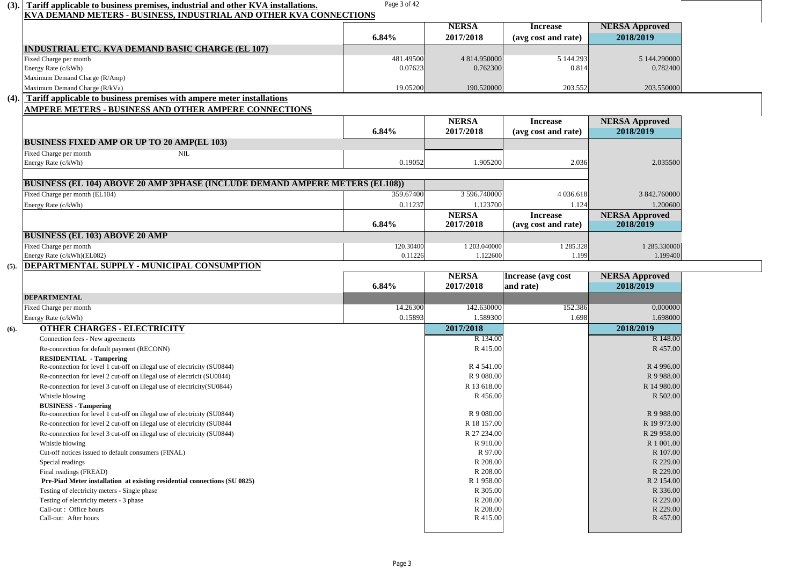| (3). | Tariff applicable to business premises, industrial and other KVA installations.                            | Page 3 of 42 |                          |                                        |                                    |  |
|------|------------------------------------------------------------------------------------------------------------|--------------|--------------------------|----------------------------------------|------------------------------------|--|
|      | KVA DEMAND METERS - BUSINESS, INDUSTRIAL AND OTHER KVA CONNECTIONS                                         |              |                          |                                        |                                    |  |
|      |                                                                                                            |              | <b>NERSA</b>             | <b>Increase</b>                        | <b>NERSA Approved</b>              |  |
|      |                                                                                                            | 6.84%        | 2017/2018                | (avg cost and rate)                    | 2018/2019                          |  |
|      | INDUSTRIAL ETC. KVA DEMAND BASIC CHARGE (EL 107)                                                           |              |                          |                                        |                                    |  |
|      | Fixed Charge per month                                                                                     | 481.49500    | 4 814.950000             | 5 144.293                              | 5 144.290000                       |  |
|      | Energy Rate (c/kWh)                                                                                        | 0.07623      | 0.762300                 | 0.814                                  | 0.782400                           |  |
|      | Maximum Demand Charge (R/Amp)                                                                              |              |                          |                                        |                                    |  |
|      | Maximum Demand Charge (R/kVa)                                                                              | 19.05200     | 190.520000               | 203.552                                | 203.550000                         |  |
| (4). | Tariff applicable to business premises with ampere meter installations                                     |              |                          |                                        |                                    |  |
|      | <b>AMPERE METERS - BUSINESS AND OTHER AMPERE CONNECTIONS</b>                                               |              |                          |                                        |                                    |  |
|      |                                                                                                            |              | <b>NERSA</b>             | <b>Increase</b>                        | <b>NERSA Approved</b>              |  |
|      |                                                                                                            | 6.84%        | 2017/2018                | (avg cost and rate)                    | 2018/2019                          |  |
|      | <b>BUSINESS FIXED AMP OR UP TO 20 AMP(EL 103)</b>                                                          |              |                          |                                        |                                    |  |
|      | Fixed Charge per month<br>NIL                                                                              |              |                          |                                        |                                    |  |
|      | Energy Rate (c/kWh)                                                                                        | 0.19052      | 1.905200                 | 2.036                                  | 2.035500                           |  |
|      |                                                                                                            |              |                          |                                        |                                    |  |
|      | <b>BUSINESS (EL 104) ABOVE 20 AMP 3PHASE (INCLUDE DEMAND AMPERE METERS (EL108))</b>                        |              |                          |                                        |                                    |  |
|      | Fixed Charge per month (EL104)                                                                             | 359.67400    | 3 596.740000             | 4 0 3 6 . 6 1 8                        | 3 842,760000                       |  |
|      |                                                                                                            |              |                          | 1.124                                  | 1.200600                           |  |
|      | Energy Rate (c/kWh)                                                                                        | 0.11237      | 1.123700<br><b>NERSA</b> |                                        |                                    |  |
|      |                                                                                                            | 6.84%        | 2017/2018                | <b>Increase</b><br>(avg cost and rate) | <b>NERSA Approved</b><br>2018/2019 |  |
|      |                                                                                                            |              |                          |                                        |                                    |  |
|      | <b>BUSINESS (EL 103) ABOVE 20 AMP</b>                                                                      |              |                          |                                        |                                    |  |
|      | Fixed Charge per month                                                                                     | 120.30400    | 1 203,040000             | 1 285.328                              | 1 285.330000                       |  |
|      | Energy Rate (c/kWh)(EL082)                                                                                 | 0.11226      | 1.122600                 | 1.199                                  | 1.199400                           |  |
| (5). | DEPARTMENTAL SUPPLY - MUNICIPAL CONSUMPTION                                                                |              |                          |                                        |                                    |  |
|      |                                                                                                            |              | <b>NERSA</b>             | Increase (avg cost                     | <b>NERSA Approved</b>              |  |
|      |                                                                                                            | 6.84%        | 2017/2018                | and rate)                              | 2018/2019                          |  |
|      | <b>DEPARTMENTAL</b>                                                                                        |              |                          |                                        |                                    |  |
|      | Fixed Charge per month                                                                                     | 14.26300     | 142.630000               | 152.386                                | 0.000000                           |  |
|      | Energy Rate (c/kWh)                                                                                        | 0.15893      | 1.589300                 | 1.698                                  | 1.698000                           |  |
| (6). | <b>OTHER CHARGES - ELECTRICITY</b>                                                                         |              | 2017/2018                |                                        | 2018/2019                          |  |
|      | Connection fees - New agreements                                                                           |              | R 134.00                 |                                        | R 148.00                           |  |
|      | Re-connection for default payment (RECONN)                                                                 |              | R 415.00                 |                                        | R 457.00                           |  |
|      | <b>RESIDENTIAL - Tampering</b><br>Re-connection for level 1 cut-off on illegal use of electricity (SU0844) |              | R 4 541.00               |                                        | R <sub>4</sub> 996.00              |  |
|      | Re-connection for level 2 cut-off on illegal use of electricit (SU0844)                                    |              | R 9 080.00               |                                        | R 9 988.00                         |  |
|      | Re-connection for level 3 cut-off on illegal use of electricity(SU0844)                                    |              | R 13 618.00              |                                        | R 14 980.00                        |  |
|      | Whistle blowing                                                                                            |              | R 456.00                 |                                        | R 502.00                           |  |
|      | <b>BUSINESS - Tampering</b>                                                                                |              |                          |                                        |                                    |  |
|      | Re-connection for level 1 cut-off on illegal use of electricity (SU0844)                                   |              | R 9 080.00               |                                        | R 9 988.00                         |  |
|      | Re-connection for level 2 cut-off on illegal use of electricity (SU0844                                    |              | R 18 157.00              |                                        | R 19 973.00                        |  |
|      | Re-connection for level 3 cut-off on illegal use of electricity (SU0844)                                   |              | R 27 234.00              |                                        | R 29 958.00                        |  |
|      | Whistle blowing                                                                                            |              | R 910.00                 |                                        | R 1 001.00                         |  |
|      | Cut-off notices issued to default consumers (FINAL)                                                        |              | R 97.00                  |                                        | R 107.00                           |  |
|      | Special readings                                                                                           |              | R 208.00                 |                                        | R 229.00                           |  |
|      | Final readings (FREAD)                                                                                     |              | R 208.00                 |                                        | R 229.00                           |  |
|      | Pre-Piad Meter installation at existing residential connections (SU 0825)                                  |              | R 1 958.00               |                                        | R 2 154.00                         |  |
|      | Testing of electricity meters - Single phase                                                               |              | R 305.00                 |                                        | R 336.00                           |  |
|      | Testing of electricity meters - 3 phase                                                                    |              | R 208.00                 |                                        | R 229.00                           |  |
|      | Call-out: Office hours                                                                                     |              | R 208.00                 |                                        | R 229.00                           |  |
|      | Call-out: After hours                                                                                      |              | R 415.00                 |                                        | R 457.00                           |  |